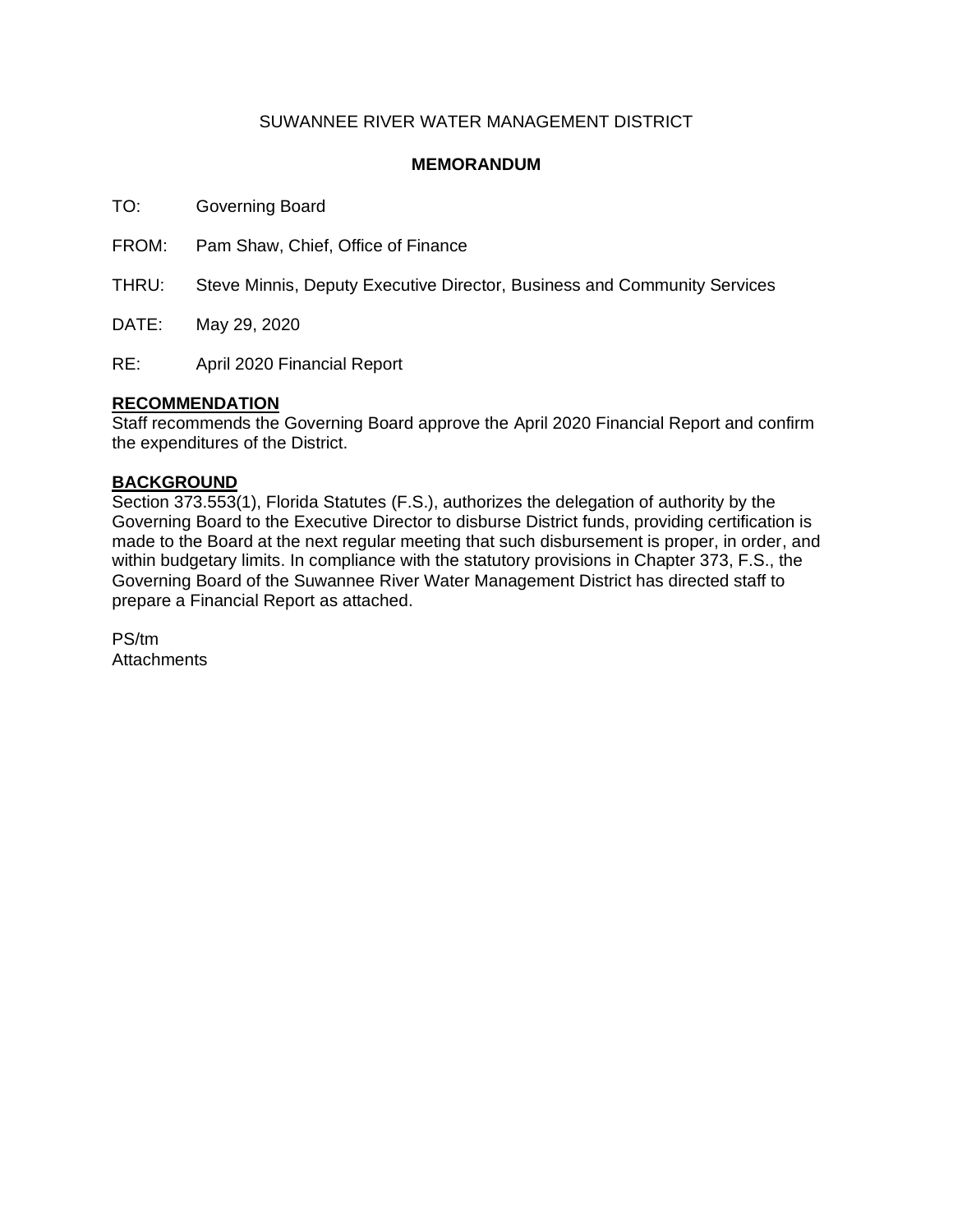### SUWANNEE RIVER WATER MANAGEMENT DISTRICT

### **MEMORANDUM**

TO: Governing Board

FROM: Pam Shaw, Chief, Office of Finance

THRU: Steve Minnis, Deputy Executive Director, Business and Community Services

DATE: May 29, 2020

RE: April 2020 Financial Report

### **RECOMMENDATION**

Staff recommends the Governing Board approve the April 2020 Financial Report and confirm the expenditures of the District.

### **BACKGROUND**

Section 373.553(1), Florida Statutes (F.S.), authorizes the delegation of authority by the Governing Board to the Executive Director to disburse District funds, providing certification is made to the Board at the next regular meeting that such disbursement is proper, in order, and within budgetary limits. In compliance with the statutory provisions in Chapter 373, F.S., the Governing Board of the Suwannee River Water Management District has directed staff to prepare a Financial Report as attached.

PS/tm **Attachments**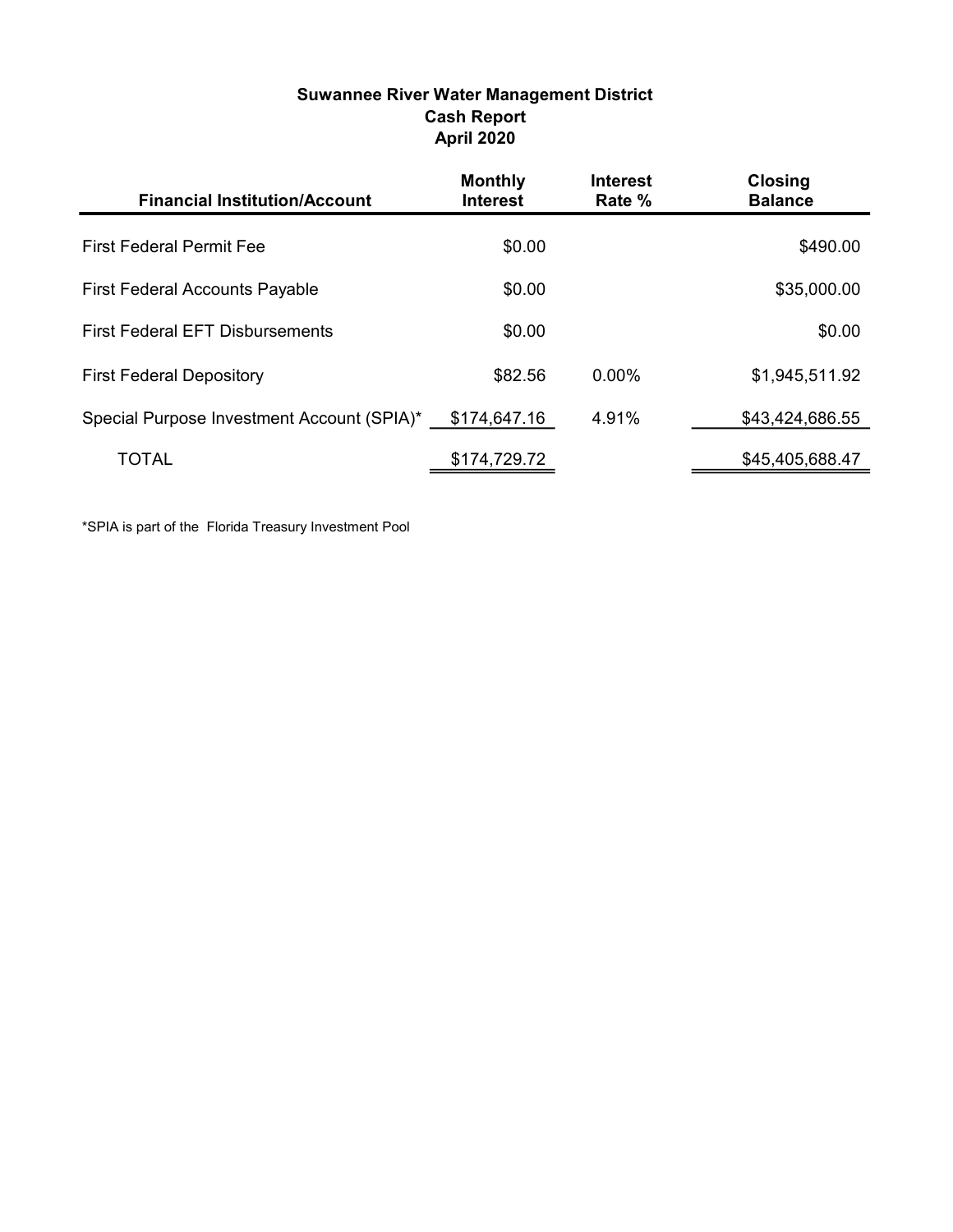| <b>Suwannee River Water Management District</b> |
|-------------------------------------------------|
| <b>Cash Report</b>                              |
| <b>April 2020</b>                               |

| <b>Financial Institution/Account</b>       | <b>Monthly</b><br><b>Interest</b> | <b>Interest</b><br>Rate % | <b>Closing</b><br><b>Balance</b> |
|--------------------------------------------|-----------------------------------|---------------------------|----------------------------------|
| <b>First Federal Permit Fee</b>            | \$0.00                            |                           | \$490.00                         |
| <b>First Federal Accounts Payable</b>      | \$0.00                            |                           | \$35,000.00                      |
| <b>First Federal EFT Disbursements</b>     | \$0.00                            |                           | \$0.00                           |
| <b>First Federal Depository</b>            | \$82.56                           | 0.00%                     | \$1,945,511.92                   |
| Special Purpose Investment Account (SPIA)* | \$174,647.16                      | 4.91%                     | \$43,424,686.55                  |
| TOTAL                                      | \$174,729.72                      |                           | \$45,405,688.47                  |

\*SPIA is part of the Florida Treasury Investment Pool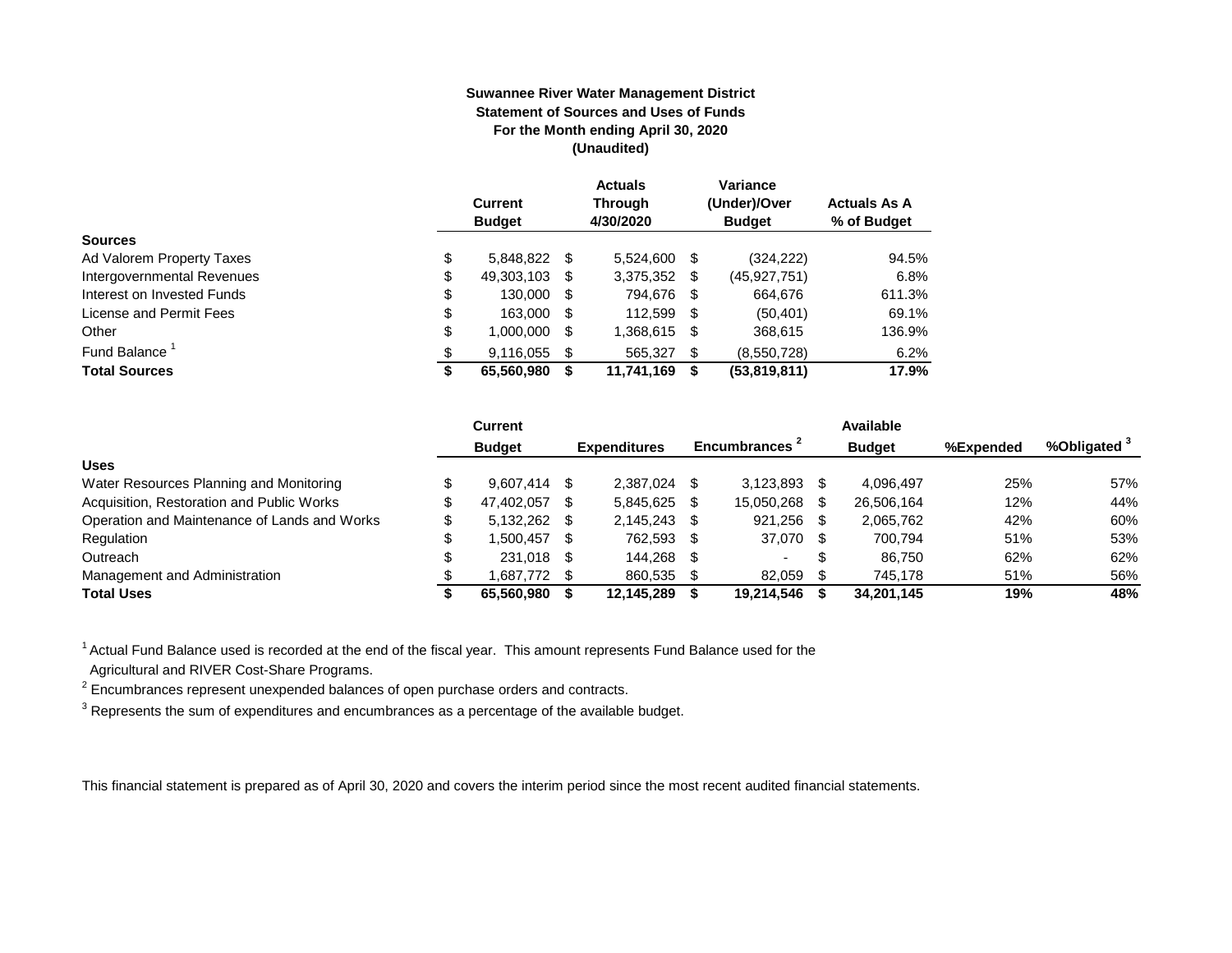#### **Suwannee River Water Management District Statement of Sources and Uses of Funds For the Month ending April 30, 2020 (Unaudited)**

|                                  | <b>Current</b><br><b>Budget</b> |      | <b>Actuals</b><br><b>Through</b><br>4/30/2020 |      | Variance<br>(Under)/Over<br><b>Budget</b> | <b>Actuals As A</b><br>% of Budget |
|----------------------------------|---------------------------------|------|-----------------------------------------------|------|-------------------------------------------|------------------------------------|
| <b>Sources</b>                   |                                 |      |                                               |      |                                           |                                    |
| \$<br>Ad Valorem Property Taxes  | 5,848,822 \$                    |      | 5.524.600                                     | S    | (324, 222)                                | 94.5%                              |
| \$<br>Intergovernmental Revenues | 49,303,103 \$                   |      | 3,375,352                                     | - \$ | (45, 927, 751)                            | 6.8%                               |
| \$<br>Interest on Invested Funds | 130.000                         | - \$ | 794.676 \$                                    |      | 664.676                                   | 611.3%                             |
| \$<br>License and Permit Fees    | 163,000                         | - \$ | 112,599                                       | - \$ | (50, 401)                                 | 69.1%                              |
| \$<br>Other                      | 1,000,000                       | \$.  | 1,368,615                                     | -S   | 368,615                                   | 136.9%                             |
| Fund Balance<br>\$               | 9.116.055                       | \$.  | 565.327                                       | - \$ | (8,550,728)                               | 6.2%                               |
| <b>Total Sources</b><br>\$       | 65,560,980                      |      | 11,741,169                                    | S    | (53,819,811)                              | 17.9%                              |

|                                              | Current        |      |                     |      |                |     | Available     |           |                         |
|----------------------------------------------|----------------|------|---------------------|------|----------------|-----|---------------|-----------|-------------------------|
|                                              | <b>Budget</b>  |      | <b>Expenditures</b> |      | Encumbrances - |     | <b>Budget</b> | %Expended | %Obligated <sup>3</sup> |
| <b>Uses</b>                                  |                |      |                     |      |                |     |               |           |                         |
| Water Resources Planning and Monitoring      | $9.607.414$ \$ |      | 2.387.024           |      | 3.123.893      |     | 4,096,497     | 25%       | 57%                     |
| Acquisition, Restoration and Public Works    | 47,402,057     | - \$ | 5,845,625           |      | 15,050,268     |     | 26,506,164    | 12%       | 44%                     |
| Operation and Maintenance of Lands and Works | 5,132,262 \$   |      | 2.145.243           | - \$ | 921.256        | -SS | 2,065,762     | 42%       | 60%                     |
| Regulation                                   | 1.500.457      | - \$ | 762.593             | - \$ | 37.070 \$      |     | 700.794       | 51%       | 53%                     |
| Outreach                                     | 231.018 \$     |      | 144.268             | -S   | . .            | S   | 86.750        | 62%       | 62%                     |
| Management and Administration                | 1,687,772 \$   |      | 860,535             |      | 82,059         |     | 745.178       | 51%       | 56%                     |
| <b>Total Uses</b>                            | 65.560.980     |      | 12,145,289          |      | 19,214,546     |     | 34,201,145    | 19%       | 48%                     |

<sup>1</sup> Actual Fund Balance used is recorded at the end of the fiscal year. This amount represents Fund Balance used for the Agricultural and RIVER Cost-Share Programs.

 $2$  Encumbrances represent unexpended balances of open purchase orders and contracts.

 $^3$  Represents the sum of expenditures and encumbrances as a percentage of the available budget.

This financial statement is prepared as of April 30, 2020 and covers the interim period since the most recent audited financial statements.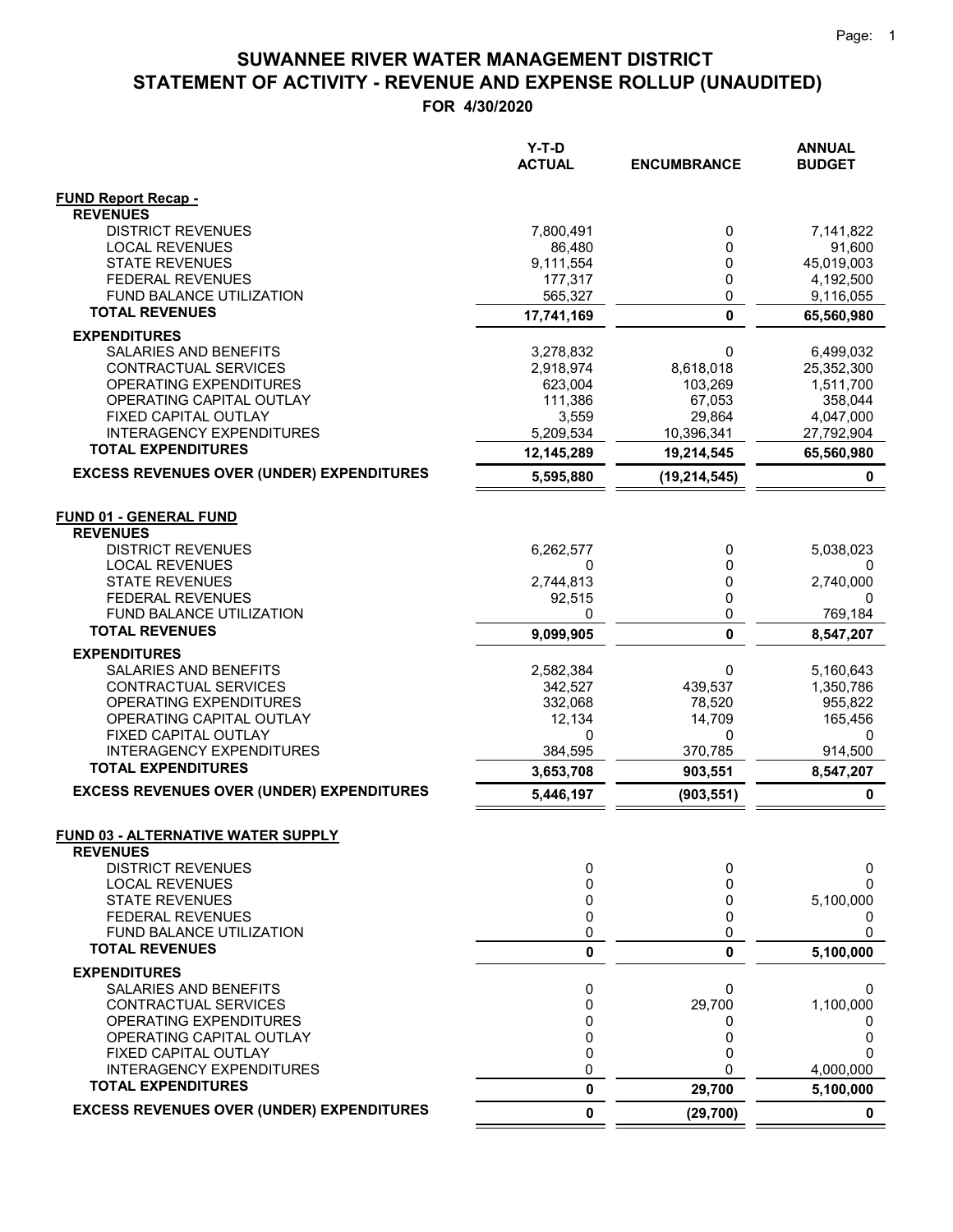**FOR 4/30/2020**

|                                                              | $Y-T-D$<br><b>ACTUAL</b> | <b>ENCUMBRANCE</b> | <b>ANNUAL</b><br><b>BUDGET</b> |
|--------------------------------------------------------------|--------------------------|--------------------|--------------------------------|
| <b>FUND Report Recap -</b>                                   |                          |                    |                                |
| <b>REVENUES</b>                                              |                          |                    |                                |
| <b>DISTRICT REVENUES</b>                                     | 7,800,491                | 0                  | 7,141,822                      |
| <b>LOCAL REVENUES</b>                                        | 86.480                   | 0                  | 91,600                         |
| <b>STATE REVENUES</b><br><b>FEDERAL REVENUES</b>             | 9,111,554<br>177,317     | 0<br>0             | 45,019,003<br>4,192,500        |
| FUND BALANCE UTILIZATION                                     | 565,327                  | 0                  | 9,116,055                      |
| <b>TOTAL REVENUES</b>                                        | 17,741,169               | $\mathbf{0}$       | 65,560,980                     |
| <b>EXPENDITURES</b>                                          |                          |                    |                                |
| SALARIES AND BENEFITS                                        | 3,278,832                | 0                  | 6,499,032                      |
| CONTRACTUAL SERVICES                                         | 2,918,974                | 8,618,018          | 25,352,300                     |
| OPERATING EXPENDITURES                                       | 623,004                  | 103,269            | 1,511,700                      |
| OPERATING CAPITAL OUTLAY                                     | 111,386                  | 67,053             | 358,044                        |
| FIXED CAPITAL OUTLAY                                         | 3,559                    | 29,864             | 4,047,000                      |
| <b>INTERAGENCY EXPENDITURES</b><br><b>TOTAL EXPENDITURES</b> | 5,209,534                | 10,396,341         | 27,792,904                     |
| <b>EXCESS REVENUES OVER (UNDER) EXPENDITURES</b>             | 12,145,289               | 19,214,545         | 65,560,980                     |
|                                                              | 5,595,880                | (19, 214, 545)     | 0                              |
| <b>FUND 01 - GENERAL FUND</b><br><b>REVENUES</b>             |                          |                    |                                |
| <b>DISTRICT REVENUES</b>                                     | 6,262,577                | 0                  | 5,038,023                      |
| <b>LOCAL REVENUES</b>                                        | 0                        | 0                  | 0                              |
| <b>STATE REVENUES</b>                                        | 2,744,813                | 0                  | 2,740,000                      |
| <b>FEDERAL REVENUES</b>                                      | 92,515                   | 0                  | 0                              |
| FUND BALANCE UTILIZATION                                     | $\Omega$                 | 0                  | 769,184                        |
| <b>TOTAL REVENUES</b>                                        | 9,099,905                | 0                  | 8,547,207                      |
| <b>EXPENDITURES</b>                                          |                          |                    |                                |
| SALARIES AND BENEFITS                                        | 2,582,384                | 0                  | 5,160,643                      |
| CONTRACTUAL SERVICES<br>OPERATING EXPENDITURES               | 342,527<br>332,068       | 439,537<br>78,520  | 1,350,786<br>955,822           |
| OPERATING CAPITAL OUTLAY                                     | 12,134                   | 14,709             | 165,456                        |
| FIXED CAPITAL OUTLAY                                         | 0                        | 0                  | 0                              |
| <b>INTERAGENCY EXPENDITURES</b>                              | 384,595                  | 370,785            | 914,500                        |
| <b>TOTAL EXPENDITURES</b>                                    | 3,653,708                | 903,551            | 8,547,207                      |
| <b>EXCESS REVENUES OVER (UNDER) EXPENDITURES</b>             | 5,446,197                | (903, 551)         | $\mathbf 0$                    |
| <b>FUND 03 - ALTERNATIVE WATER SUPPLY</b><br><b>REVENUES</b> |                          |                    |                                |
| <b>DISTRICT REVENUES</b>                                     | 0                        | 0                  | 0                              |
| <b>LOCAL REVENUES</b>                                        | 0                        | 0                  | O                              |
| <b>STATE REVENUES</b>                                        | 0                        | 0                  | 5,100,000                      |
| FEDERAL REVENUES                                             | 0                        | 0                  | 0                              |
| FUND BALANCE UTILIZATION<br><b>TOTAL REVENUES</b>            | 0<br>0                   | 0<br>0             | 0<br>5,100,000                 |
| <b>EXPENDITURES</b>                                          |                          |                    |                                |
| SALARIES AND BENEFITS                                        | 0                        | 0                  | 0                              |
| CONTRACTUAL SERVICES                                         | 0                        | 29,700             | 1,100,000                      |
| OPERATING EXPENDITURES                                       | 0                        | 0                  | 0                              |
| OPERATING CAPITAL OUTLAY                                     | 0                        | 0                  | 0                              |
| FIXED CAPITAL OUTLAY                                         | 0                        | 0                  |                                |
| <b>INTERAGENCY EXPENDITURES</b>                              | 0                        | 0                  | 4,000,000                      |
| <b>TOTAL EXPENDITURES</b>                                    | 0                        | 29,700             | 5,100,000                      |
| <b>EXCESS REVENUES OVER (UNDER) EXPENDITURES</b>             | 0                        | (29, 700)          | $\mathbf 0$                    |

 $=$  $\equiv$   $=$   $=$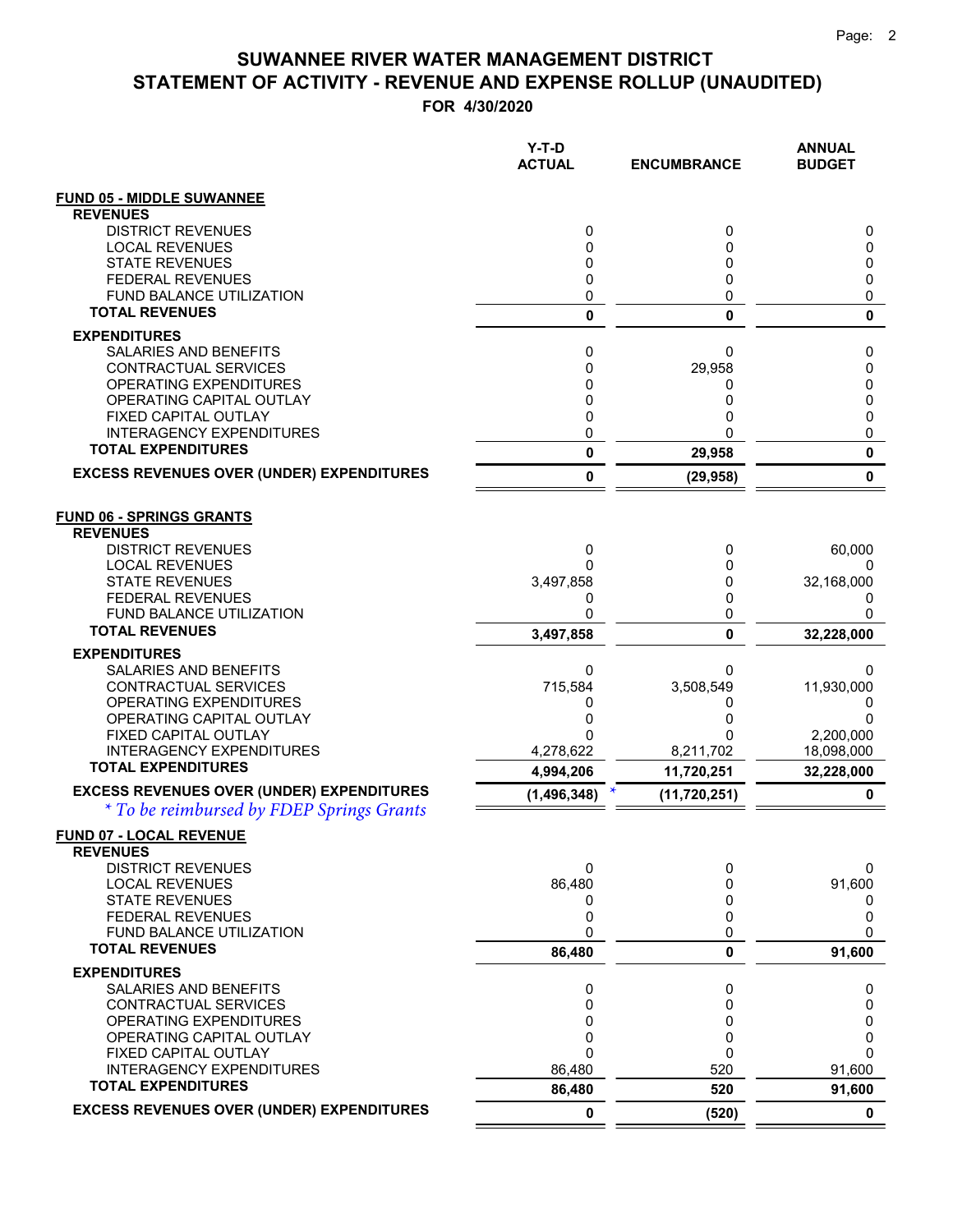|                                                                                               | Y-T-D<br><b>ACTUAL</b> | <b>ENCUMBRANCE</b> | <b>ANNUAL</b><br><b>BUDGET</b> |
|-----------------------------------------------------------------------------------------------|------------------------|--------------------|--------------------------------|
| <b>FUND 05 - MIDDLE SUWANNEE</b>                                                              |                        |                    |                                |
| <b>REVENUES</b>                                                                               |                        |                    |                                |
| <b>DISTRICT REVENUES</b>                                                                      | 0                      | 0                  | 0                              |
| <b>LOCAL REVENUES</b><br><b>STATE REVENUES</b>                                                | 0<br>0                 | 0<br>0             | 0<br>0                         |
| <b>FEDERAL REVENUES</b>                                                                       | 0                      | 0                  | 0                              |
| FUND BALANCE UTILIZATION                                                                      | 0                      | 0                  | 0                              |
| <b>TOTAL REVENUES</b>                                                                         | 0                      | $\mathbf{0}$       | 0                              |
| <b>EXPENDITURES</b>                                                                           |                        |                    |                                |
| SALARIES AND BENEFITS                                                                         | 0                      | 0                  | 0                              |
| CONTRACTUAL SERVICES                                                                          | 0                      | 29,958             | 0                              |
| OPERATING EXPENDITURES<br>OPERATING CAPITAL OUTLAY                                            | 0<br>0                 | 0<br>0             | 0<br>0                         |
| FIXED CAPITAL OUTLAY                                                                          | 0                      | 0                  | 0                              |
| <b>INTERAGENCY EXPENDITURES</b>                                                               | 0                      | ŋ                  | 0                              |
| <b>TOTAL EXPENDITURES</b>                                                                     | 0                      | 29,958             | 0                              |
| <b>EXCESS REVENUES OVER (UNDER) EXPENDITURES</b>                                              | 0                      | (29, 958)          | 0                              |
| <b>FUND 06 - SPRINGS GRANTS</b><br><b>REVENUES</b>                                            |                        |                    |                                |
| <b>DISTRICT REVENUES</b>                                                                      | 0                      | 0                  | 60,000                         |
| <b>LOCAL REVENUES</b><br><b>STATE REVENUES</b>                                                | 0<br>3,497,858         | 0<br>0             | 0<br>32,168,000                |
| <b>FEDERAL REVENUES</b>                                                                       | 0                      | 0                  | 0                              |
| FUND BALANCE UTILIZATION                                                                      | 0                      | 0                  | 0                              |
| <b>TOTAL REVENUES</b>                                                                         | 3,497,858              | 0                  | 32,228,000                     |
| <b>EXPENDITURES</b>                                                                           |                        |                    |                                |
| SALARIES AND BENEFITS                                                                         | 0                      | 0                  | 0                              |
| CONTRACTUAL SERVICES                                                                          | 715,584                | 3,508,549          | 11,930,000                     |
| OPERATING EXPENDITURES<br>OPERATING CAPITAL OUTLAY                                            | 0<br>0                 | 0                  | 0<br>0                         |
| FIXED CAPITAL OUTLAY                                                                          | 0                      | O                  | 2,200,000                      |
| INTERAGENCY EXPENDITURES                                                                      | 4,278,622              | 8,211,702          | 18,098,000                     |
| <b>TOTAL EXPENDITURES</b>                                                                     | 4,994,206              | 11,720,251         | 32,228,000                     |
| <b>EXCESS REVENUES OVER (UNDER) EXPENDITURES</b><br>* To be reimbursed by FDEP Springs Grants | (1, 496, 348)          | (11, 720, 251)     | 0                              |
| <b>FUND 07 - LOCAL REVENUE</b>                                                                |                        |                    |                                |
| <b>REVENUES</b><br><b>DISTRICT REVENUES</b>                                                   | 0                      | 0                  | 0                              |
| <b>LOCAL REVENUES</b>                                                                         | 86,480                 | 0                  | 91,600                         |
| <b>STATE REVENUES</b>                                                                         | 0                      | 0                  | 0                              |
| <b>FEDERAL REVENUES</b>                                                                       | 0                      | 0                  | 0                              |
| <b>FUND BALANCE UTILIZATION</b>                                                               | 0                      | 0                  | 0                              |
| <b>TOTAL REVENUES</b>                                                                         | 86,480                 | 0                  | 91,600                         |
| <b>EXPENDITURES</b><br><b>SALARIES AND BENEFITS</b>                                           | 0                      | 0                  | 0                              |
| CONTRACTUAL SERVICES                                                                          | 0                      | 0                  | 0                              |
| <b>OPERATING EXPENDITURES</b>                                                                 | 0                      | 0                  | 0                              |
| OPERATING CAPITAL OUTLAY                                                                      | 0                      | 0                  | 0                              |
| FIXED CAPITAL OUTLAY                                                                          | 0                      | 0                  | 0                              |
| <b>INTERAGENCY EXPENDITURES</b><br><b>TOTAL EXPENDITURES</b>                                  | 86,480                 | 520                | 91,600                         |
| <b>EXCESS REVENUES OVER (UNDER) EXPENDITURES</b>                                              | 86,480                 | 520                | 91,600                         |
|                                                                                               | 0                      | (520)              | $\mathbf 0$                    |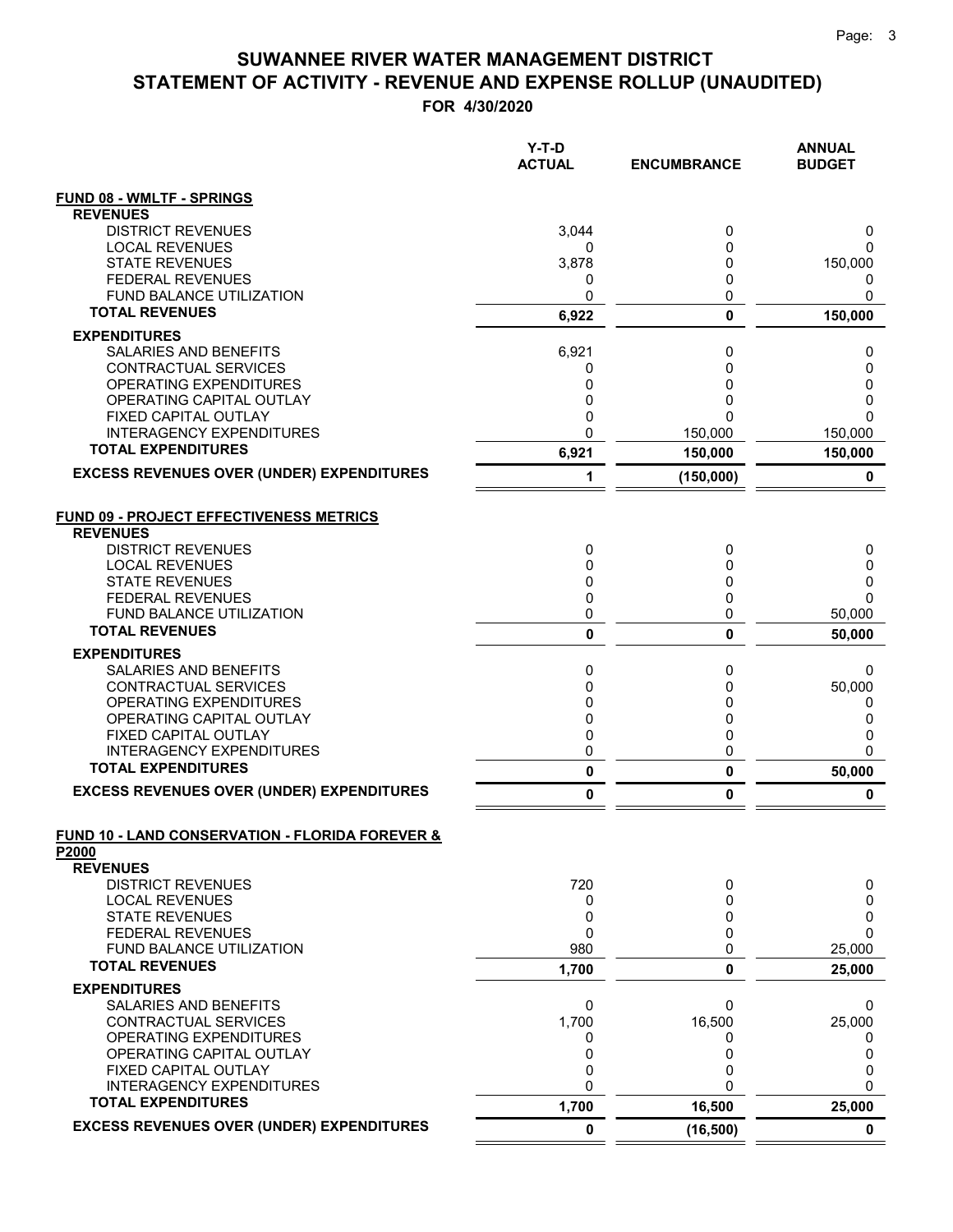|                                                            | Y-T-D<br><b>ACTUAL</b> | <b>ENCUMBRANCE</b> | <b>ANNUAL</b><br><b>BUDGET</b> |
|------------------------------------------------------------|------------------------|--------------------|--------------------------------|
| <b>FUND 08 - WMLTF - SPRINGS</b>                           |                        |                    |                                |
| <b>REVENUES</b>                                            |                        |                    |                                |
| <b>DISTRICT REVENUES</b>                                   | 3,044                  | 0                  | 0                              |
| <b>LOCAL REVENUES</b><br><b>STATE REVENUES</b>             | 0<br>3,878             | 0<br>0             | 0<br>150,000                   |
| <b>FEDERAL REVENUES</b>                                    | 0                      | 0                  | 0                              |
| FUND BALANCE UTILIZATION                                   | 0                      | 0                  | 0                              |
| <b>TOTAL REVENUES</b>                                      | 6,922                  | 0                  | 150,000                        |
| <b>EXPENDITURES</b>                                        |                        |                    |                                |
| SALARIES AND BENEFITS                                      | 6,921                  | 0                  | 0                              |
| CONTRACTUAL SERVICES                                       | 0                      | 0                  | 0                              |
| OPERATING EXPENDITURES<br>OPERATING CAPITAL OUTLAY         | 0<br>0                 | 0<br>0             | 0<br>0                         |
| <b>FIXED CAPITAL OUTLAY</b>                                | 0                      | 0                  | $\Omega$                       |
| <b>INTERAGENCY EXPENDITURES</b>                            | 0                      | 150,000            | 150,000                        |
| <b>TOTAL EXPENDITURES</b>                                  | 6,921                  | 150,000            | 150,000                        |
| <b>EXCESS REVENUES OVER (UNDER) EXPENDITURES</b>           | 1                      | (150,000)          | 0                              |
| <b>FUND 09 - PROJECT EFFECTIVENESS METRICS</b>             |                        |                    |                                |
| <b>REVENUES</b>                                            |                        |                    |                                |
| <b>DISTRICT REVENUES</b>                                   | 0                      | 0                  | 0                              |
| <b>LOCAL REVENUES</b><br><b>STATE REVENUES</b>             | 0<br>0                 | 0<br>0             | 0<br>0                         |
| <b>FEDERAL REVENUES</b>                                    | 0                      | 0                  | $\Omega$                       |
| FUND BALANCE UTILIZATION                                   | 0                      | 0                  | 50,000                         |
| <b>TOTAL REVENUES</b>                                      | 0                      | 0                  | 50,000                         |
| <b>EXPENDITURES</b>                                        |                        |                    |                                |
| SALARIES AND BENEFITS                                      | 0                      | 0                  | 0                              |
| CONTRACTUAL SERVICES<br>OPERATING EXPENDITURES             | 0<br>0                 | 0<br>0             | 50,000<br>0                    |
| OPERATING CAPITAL OUTLAY                                   | 0                      | 0                  | 0                              |
| FIXED CAPITAL OUTLAY                                       | 0                      | 0                  | 0                              |
| <b>INTERAGENCY EXPENDITURES</b>                            | 0                      | 0                  | 0                              |
| <b>TOTAL EXPENDITURES</b>                                  | 0                      | 0                  | 50,000                         |
| <b>EXCESS REVENUES OVER (UNDER) EXPENDITURES</b>           | 0                      | 0                  | 0                              |
| <b>FUND 10 - LAND CONSERVATION - FLORIDA FOREVER &amp;</b> |                        |                    |                                |
| P2000<br><b>REVENUES</b>                                   |                        |                    |                                |
| <b>DISTRICT REVENUES</b>                                   | 720                    | 0                  | 0                              |
| <b>LOCAL REVENUES</b>                                      | 0                      | 0                  | 0                              |
| <b>STATE REVENUES</b>                                      | 0                      | 0                  | 0                              |
| <b>FEDERAL REVENUES</b><br>FUND BALANCE UTILIZATION        | 0<br>980               | 0<br>0             | 0<br>25,000                    |
| <b>TOTAL REVENUES</b>                                      | 1,700                  | 0                  | 25,000                         |
| <b>EXPENDITURES</b>                                        |                        |                    |                                |
| SALARIES AND BENEFITS                                      | 0                      | 0                  | 0                              |
| <b>CONTRACTUAL SERVICES</b>                                | 1,700                  | 16,500             | 25,000                         |
| OPERATING EXPENDITURES                                     | 0                      | 0                  | 0                              |
| OPERATING CAPITAL OUTLAY                                   | 0                      | 0                  | 0                              |
| FIXED CAPITAL OUTLAY<br><b>INTERAGENCY EXPENDITURES</b>    | 0<br>0                 | 0<br>0             | 0<br>0                         |
| <b>TOTAL EXPENDITURES</b>                                  | 1,700                  | 16,500             | 25,000                         |
| <b>EXCESS REVENUES OVER (UNDER) EXPENDITURES</b>           | 0                      | (16, 500)          | $\mathbf 0$                    |
|                                                            |                        |                    |                                |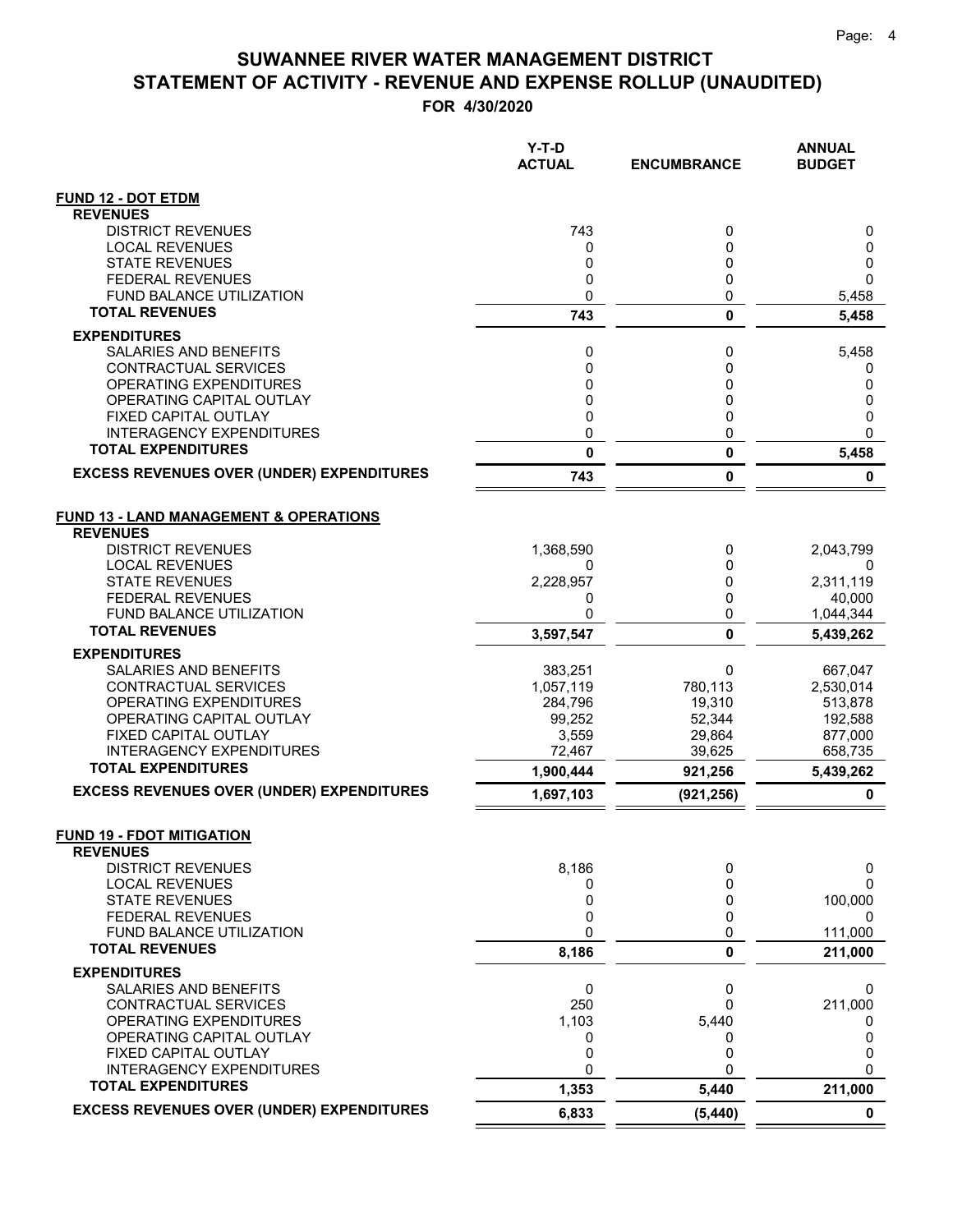**FOR 4/30/2020**

|                                                              | $Y-T-D$<br><b>ACTUAL</b> | <b>ENCUMBRANCE</b> | <b>ANNUAL</b><br><b>BUDGET</b> |
|--------------------------------------------------------------|--------------------------|--------------------|--------------------------------|
| <b>FUND 12 - DOT ETDM</b>                                    |                          |                    |                                |
| <b>REVENUES</b>                                              |                          |                    |                                |
| <b>DISTRICT REVENUES</b>                                     | 743                      | 0                  | 0                              |
| <b>LOCAL REVENUES</b>                                        | 0                        | 0                  | 0                              |
| <b>STATE REVENUES</b><br><b>FEDERAL REVENUES</b>             | 0<br>0                   | 0<br>0             | 0<br>$\Omega$                  |
| <b>FUND BALANCE UTILIZATION</b>                              | 0                        | 0                  | 5,458                          |
| <b>TOTAL REVENUES</b>                                        | 743                      | $\mathbf{0}$       | 5,458                          |
| <b>EXPENDITURES</b>                                          |                          |                    |                                |
| SALARIES AND BENEFITS                                        | 0                        | 0                  | 5,458                          |
| <b>CONTRACTUAL SERVICES</b>                                  | 0                        | 0                  | 0                              |
| OPERATING EXPENDITURES                                       | 0                        | 0                  | 0                              |
| OPERATING CAPITAL OUTLAY                                     | 0                        | 0                  | 0                              |
| FIXED CAPITAL OUTLAY<br><b>INTERAGENCY EXPENDITURES</b>      | 0<br>0                   | 0<br>0             | 0<br>$\Omega$                  |
| <b>TOTAL EXPENDITURES</b>                                    | 0                        | 0                  | 5,458                          |
| <b>EXCESS REVENUES OVER (UNDER) EXPENDITURES</b>             |                          |                    |                                |
|                                                              | 743                      | 0                  | 0                              |
| <b>FUND 13 - LAND MANAGEMENT &amp; OPERATIONS</b>            |                          |                    |                                |
| <b>REVENUES</b>                                              |                          |                    |                                |
| <b>DISTRICT REVENUES</b>                                     | 1,368,590                | 0                  | 2,043,799                      |
| <b>LOCAL REVENUES</b>                                        | 0                        | 0                  | 0                              |
| <b>STATE REVENUES</b>                                        | 2,228,957                | 0                  | 2,311,119                      |
| <b>FEDERAL REVENUES</b><br><b>FUND BALANCE UTILIZATION</b>   | 0<br>0                   | 0<br>0             | 40,000                         |
| <b>TOTAL REVENUES</b>                                        | 3,597,547                | 0                  | 1,044,344<br>5,439,262         |
| <b>EXPENDITURES</b>                                          |                          |                    |                                |
| <b>SALARIES AND BENEFITS</b>                                 | 383,251                  | 0                  | 667,047                        |
| CONTRACTUAL SERVICES                                         | 1,057,119                | 780,113            | 2,530,014                      |
| OPERATING EXPENDITURES                                       | 284,796                  | 19,310             | 513,878                        |
| OPERATING CAPITAL OUTLAY                                     | 99,252                   | 52,344             | 192,588                        |
| FIXED CAPITAL OUTLAY                                         | 3,559                    | 29,864             | 877,000                        |
| <b>INTERAGENCY EXPENDITURES</b><br><b>TOTAL EXPENDITURES</b> | 72,467<br>1,900,444      | 39,625<br>921,256  | 658,735<br>5,439,262           |
| <b>EXCESS REVENUES OVER (UNDER) EXPENDITURES</b>             | 1,697,103                |                    | 0                              |
|                                                              |                          | (921, 256)         |                                |
| <b>FUND 19 - FDOT MITIGATION</b><br><b>REVENUES</b>          |                          |                    |                                |
| <b>DISTRICT REVENUES</b>                                     | 8,186                    | 0                  | 0                              |
| <b>LOCAL REVENUES</b>                                        | 0                        | 0                  | 0                              |
| <b>STATE REVENUES</b>                                        | 0                        | 0<br>0             | 100,000                        |
| <b>FEDERAL REVENUES</b><br>FUND BALANCE UTILIZATION          | 0<br>0                   | 0                  | 0<br>111,000                   |
| <b>TOTAL REVENUES</b>                                        | 8,186                    | 0                  | 211,000                        |
| <b>EXPENDITURES</b>                                          |                          |                    |                                |
| SALARIES AND BENEFITS                                        | 0                        | 0                  | 0                              |
| CONTRACTUAL SERVICES                                         | 250                      | 0                  | 211,000                        |
| OPERATING EXPENDITURES                                       | 1,103                    | 5,440              | O                              |
| OPERATING CAPITAL OUTLAY                                     | 0                        | 0                  | 0                              |
| FIXED CAPITAL OUTLAY<br><b>INTERAGENCY EXPENDITURES</b>      | 0<br>0                   | 0<br>0             | 0<br>0                         |
| <b>TOTAL EXPENDITURES</b>                                    | 1,353                    | 5,440              | 211,000                        |
| <b>EXCESS REVENUES OVER (UNDER) EXPENDITURES</b>             | 6,833                    | (5, 440)           | $\mathbf 0$                    |
|                                                              |                          |                    |                                |

 $=$  $\equiv$   $=$   $=$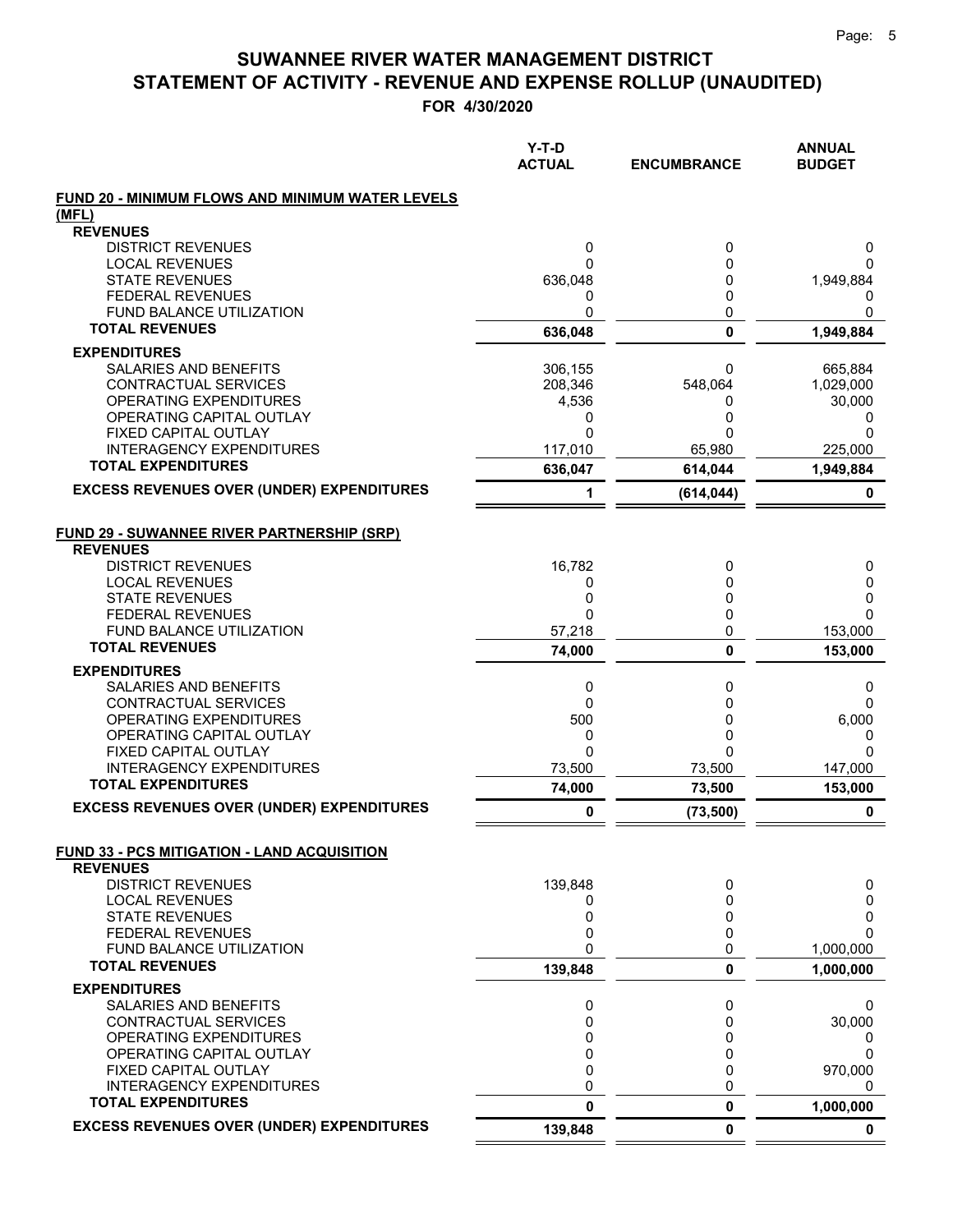|                                                                      | $Y-T-D$<br><b>ACTUAL</b> | <b>ENCUMBRANCE</b> | <b>ANNUAL</b><br><b>BUDGET</b> |
|----------------------------------------------------------------------|--------------------------|--------------------|--------------------------------|
| FUND 20 - MINIMUM FLOWS AND MINIMUM WATER LEVELS                     |                          |                    |                                |
| (MFL)                                                                |                          |                    |                                |
| <b>REVENUES</b>                                                      |                          |                    |                                |
| <b>DISTRICT REVENUES</b>                                             | 0                        | 0                  | 0                              |
| <b>LOCAL REVENUES</b><br><b>STATE REVENUES</b>                       | 0                        | 0<br>0             | $\Omega$<br>1,949,884          |
| <b>FEDERAL REVENUES</b>                                              | 636,048<br>0             | 0                  | 0                              |
| FUND BALANCE UTILIZATION                                             | 0                        | 0                  | 0                              |
| <b>TOTAL REVENUES</b>                                                | 636,048                  | 0                  | 1,949,884                      |
| <b>EXPENDITURES</b>                                                  |                          |                    |                                |
| SALARIES AND BENEFITS                                                | 306,155                  | 0                  | 665,884                        |
| CONTRACTUAL SERVICES                                                 | 208,346                  | 548,064            | 1,029,000                      |
| OPERATING EXPENDITURES                                               | 4,536                    | 0                  | 30,000                         |
| OPERATING CAPITAL OUTLAY                                             | 0                        | 0                  | 0                              |
| FIXED CAPITAL OUTLAY                                                 | 0                        | 0                  | $\Omega$                       |
| <b>INTERAGENCY EXPENDITURES</b>                                      | 117,010                  | 65,980             | 225,000                        |
| <b>TOTAL EXPENDITURES</b>                                            | 636,047                  | 614,044            | 1,949,884                      |
| <b>EXCESS REVENUES OVER (UNDER) EXPENDITURES</b>                     | 1                        | (614, 044)         | 0                              |
|                                                                      |                          |                    |                                |
| <b>FUND 29 - SUWANNEE RIVER PARTNERSHIP (SRP)</b><br><b>REVENUES</b> |                          |                    |                                |
| <b>DISTRICT REVENUES</b>                                             | 16,782                   | 0                  | 0                              |
| <b>LOCAL REVENUES</b>                                                | 0                        | 0                  | 0                              |
| <b>STATE REVENUES</b>                                                | 0                        | 0                  | 0                              |
| <b>FEDERAL REVENUES</b>                                              | 0                        | 0                  | $\Omega$                       |
| <b>FUND BALANCE UTILIZATION</b>                                      | 57,218                   | 0                  | 153,000                        |
| <b>TOTAL REVENUES</b>                                                | 74,000                   | 0                  | 153,000                        |
| <b>EXPENDITURES</b>                                                  |                          |                    |                                |
| <b>SALARIES AND BENEFITS</b>                                         | 0                        | 0                  | 0                              |
| CONTRACTUAL SERVICES                                                 | $\mathbf 0$              | 0                  | 0                              |
| OPERATING EXPENDITURES                                               | 500                      | 0                  | 6,000                          |
| OPERATING CAPITAL OUTLAY                                             | 0                        | 0                  | 0                              |
| FIXED CAPITAL OUTLAY                                                 | 0                        | 0                  | $\Omega$                       |
| <b>INTERAGENCY EXPENDITURES</b>                                      | 73,500                   | 73,500             | 147,000                        |
| <b>TOTAL EXPENDITURES</b>                                            | 74,000                   | 73,500             | 153,000                        |
| <b>EXCESS REVENUES OVER (UNDER) EXPENDITURES</b>                     | 0                        | (73, 500)          | 0                              |
| <b>FUND 33 - PCS MITIGATION - LAND ACQUISITION</b>                   |                          |                    |                                |
| <b>REVENUES</b>                                                      |                          |                    |                                |
| <b>DISTRICT REVENUES</b>                                             | 139,848                  | 0                  | 0                              |
| <b>LOCAL REVENUES</b>                                                | 0<br>0                   | 0                  | 0                              |
| <b>STATE REVENUES</b><br><b>FEDERAL REVENUES</b>                     | 0                        | 0<br>0             | 0<br>0                         |
| FUND BALANCE UTILIZATION                                             | 0                        | 0                  | 1,000,000                      |
| <b>TOTAL REVENUES</b>                                                | 139,848                  | 0                  | 1,000,000                      |
| <b>EXPENDITURES</b>                                                  |                          |                    |                                |
| <b>SALARIES AND BENEFITS</b>                                         | 0                        | 0                  | 0                              |
| CONTRACTUAL SERVICES                                                 | 0                        | 0                  | 30,000                         |
| OPERATING EXPENDITURES                                               | 0                        | 0                  | 0                              |
| OPERATING CAPITAL OUTLAY                                             | 0                        | 0                  | 0                              |
| FIXED CAPITAL OUTLAY                                                 | 0                        | 0                  | 970,000                        |
| <b>INTERAGENCY EXPENDITURES</b>                                      | 0                        | 0                  | 0                              |
| <b>TOTAL EXPENDITURES</b>                                            | 0                        | 0                  | 1,000,000                      |
| <b>EXCESS REVENUES OVER (UNDER) EXPENDITURES</b>                     | 139,848                  | 0                  | $\mathbf 0$                    |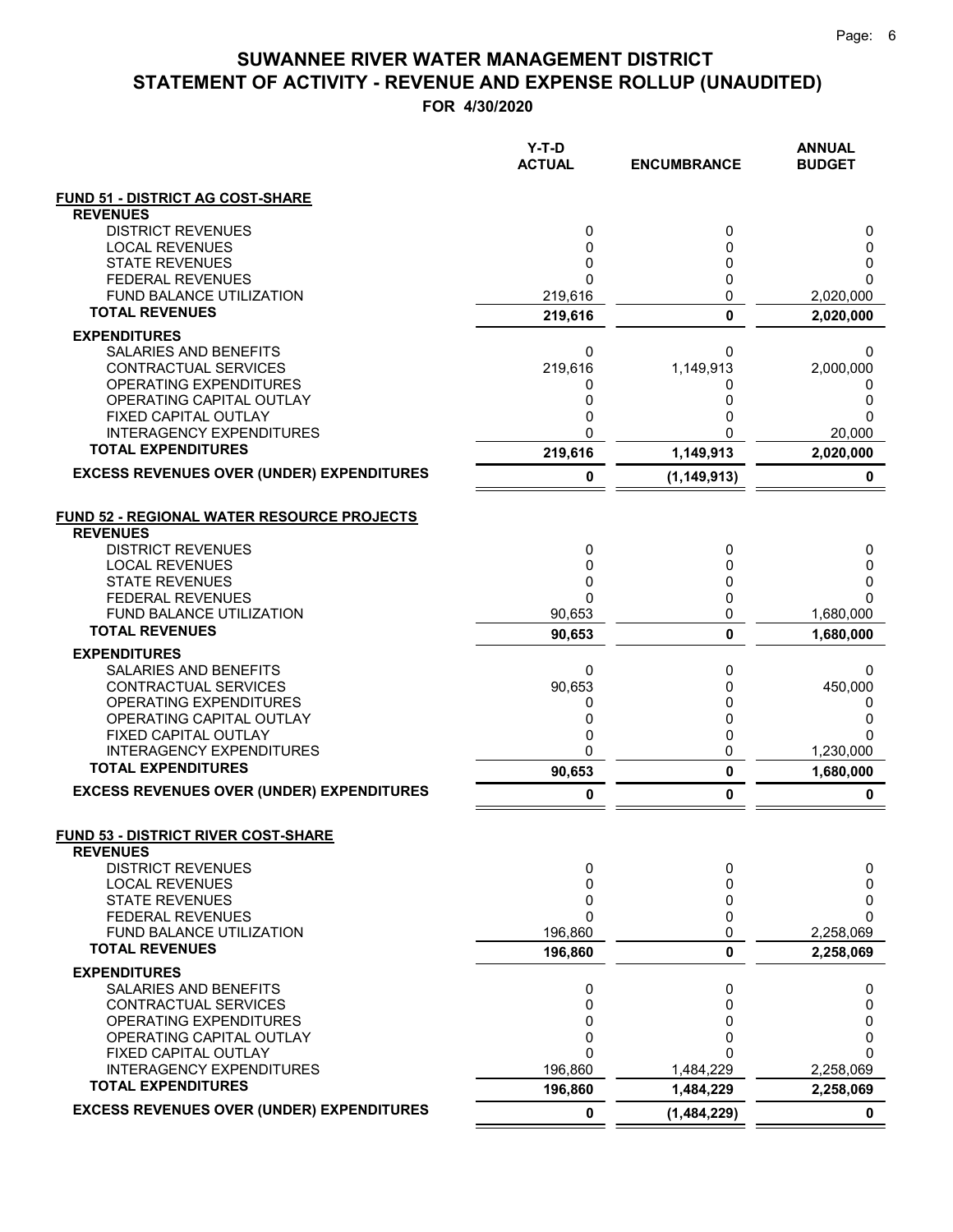|                                                                      | Y-T-D<br><b>ACTUAL</b> | <b>ENCUMBRANCE</b>       | <b>ANNUAL</b><br><b>BUDGET</b> |
|----------------------------------------------------------------------|------------------------|--------------------------|--------------------------------|
| <b>FUND 51 - DISTRICT AG COST-SHARE</b>                              |                        |                          |                                |
| <b>REVENUES</b>                                                      |                        |                          |                                |
| <b>DISTRICT REVENUES</b>                                             | 0                      | 0                        | 0                              |
| <b>LOCAL REVENUES</b><br><b>STATE REVENUES</b>                       | 0<br>0                 | 0<br>0                   | 0<br>0                         |
| <b>FEDERAL REVENUES</b>                                              | 0                      | 0                        | n                              |
| <b>FUND BALANCE UTILIZATION</b>                                      | 219,616                | 0                        | 2,020,000                      |
| <b>TOTAL REVENUES</b>                                                | 219,616                | $\pmb{0}$                | 2,020,000                      |
| <b>EXPENDITURES</b>                                                  |                        |                          |                                |
| <b>SALARIES AND BENEFITS</b>                                         | 0                      | 0                        | 0                              |
| CONTRACTUAL SERVICES                                                 | 219,616                | 1,149,913                | 2,000,000                      |
| OPERATING EXPENDITURES<br>OPERATING CAPITAL OUTLAY                   | 0<br>0                 | 0<br>0                   | O<br>0                         |
| FIXED CAPITAL OUTLAY                                                 | 0                      | 0                        | 0                              |
| <b>INTERAGENCY EXPENDITURES</b>                                      | 0                      | 0                        | 20,000                         |
| <b>TOTAL EXPENDITURES</b>                                            | 219,616                | 1,149,913                | 2,020,000                      |
| <b>EXCESS REVENUES OVER (UNDER) EXPENDITURES</b>                     | 0                      | (1, 149, 913)            | 0                              |
| <b>FUND 52 - REGIONAL WATER RESOURCE PROJECTS</b><br><b>REVENUES</b> |                        |                          |                                |
| <b>DISTRICT REVENUES</b>                                             | 0                      | 0                        | 0                              |
| <b>LOCAL REVENUES</b>                                                | 0                      | 0                        | 0                              |
| <b>STATE REVENUES</b>                                                | 0                      | 0                        | 0                              |
| <b>FEDERAL REVENUES</b><br><b>FUND BALANCE UTILIZATION</b>           | 0<br>90,653            | 0<br>0                   | 1,680,000                      |
| <b>TOTAL REVENUES</b>                                                | 90,653                 | 0                        | 1,680,000                      |
| <b>EXPENDITURES</b>                                                  |                        |                          |                                |
| SALARIES AND BENEFITS                                                | 0                      | 0                        | 0                              |
| CONTRACTUAL SERVICES                                                 | 90,653                 | 0                        | 450,000                        |
| OPERATING EXPENDITURES                                               | 0                      | 0                        | 0                              |
| OPERATING CAPITAL OUTLAY<br>FIXED CAPITAL OUTLAY                     | 0<br>0                 | 0<br>0                   | 0<br>O                         |
| <b>INTERAGENCY EXPENDITURES</b>                                      | 0                      | 0                        | 1,230,000                      |
| <b>TOTAL EXPENDITURES</b>                                            | 90,653                 | 0                        | 1,680,000                      |
| <b>EXCESS REVENUES OVER (UNDER) EXPENDITURES</b>                     | 0                      | 0                        | 0                              |
| FUND 53 - DISTRICT RIVER COST-SHARE<br><b>REVENUES</b>               |                        |                          |                                |
| <b>DISTRICT REVENUES</b>                                             | 0                      | 0                        | 0                              |
| <b>LOCAL REVENUES</b>                                                | 0                      | 0                        | 0                              |
| <b>STATE REVENUES</b>                                                | 0                      | 0                        | 0                              |
| <b>FEDERAL REVENUES</b>                                              | 0                      | 0                        | $\Omega$                       |
| FUND BALANCE UTILIZATION<br><b>TOTAL REVENUES</b>                    | 196,860                | 0                        | 2,258,069                      |
|                                                                      | 196,860                | 0                        | 2,258,069                      |
| <b>EXPENDITURES</b><br>SALARIES AND BENEFITS                         | 0                      | 0                        |                                |
| <b>CONTRACTUAL SERVICES</b>                                          | 0                      | 0                        | 0<br>0                         |
| OPERATING EXPENDITURES                                               | 0                      | 0                        | 0                              |
| OPERATING CAPITAL OUTLAY                                             | 0                      | 0                        | 0                              |
| FIXED CAPITAL OUTLAY                                                 | 0                      | 0                        | 0                              |
| <b>INTERAGENCY EXPENDITURES</b><br><b>TOTAL EXPENDITURES</b>         | 196,860                | 1,484,229                | 2,258,069                      |
| <b>EXCESS REVENUES OVER (UNDER) EXPENDITURES</b>                     | 196,860<br>0           | 1,484,229<br>(1,484,229) | 2,258,069<br>0                 |
|                                                                      |                        |                          |                                |